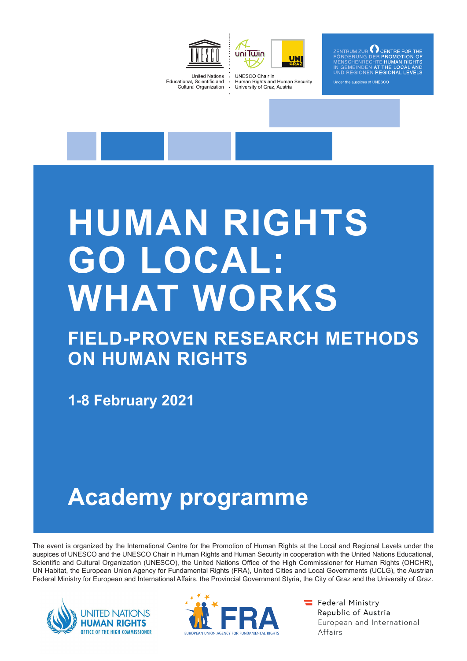



GHTS der the auspices of UNESCC

**United Nations** Educational, Scientific and Cultural Organization

**UNESCO Chair in** Human Rights and Human Security University of Graz, Austria

# **HUMAN RIGHTS GO LOCAL: WHAT WORKS**

# **FIELD-PROVEN RESEARCH METHODS ON HUMAN RIGHTS**

**1-8 February 2021**

# **Academy programme**

The event is organized by the International Centre for the Promotion of Human Rights at the Local and Regional Levels under the auspices of UNESCO and the UNESCO Chair in Human Rights and Human Security in cooperation with the United Nations Educational, Scientific and Cultural Organization (UNESCO), the United Nations Office of the High Commissioner for Human Rights (OHCHR), UN Habitat, the European Union Agency for Fundamental Rights (FRA), United Cities and Local Governments (UCLG), the Austrian Federal Ministry for European and International Affairs, the Provincial Government Styria, the City of Graz and the University of Graz.





Federal Ministry Republic of Austria European and International Affairs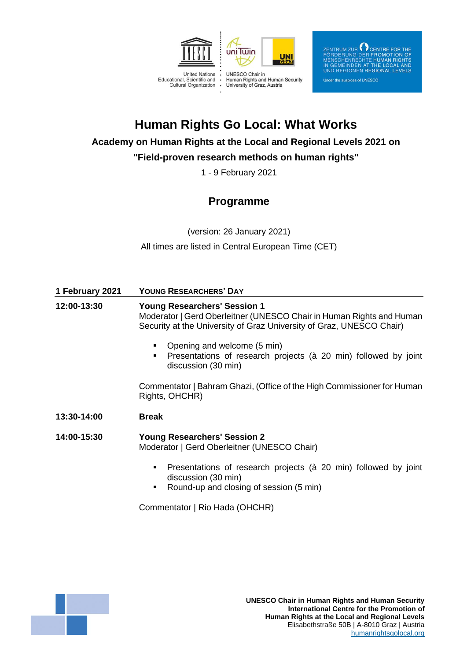

 $\begin{tabular}{l} \bf ZENTRUM ZUR \end{tabular} \begin{tabular}{l} \bf \color{green}{C} \bf \color{green}{C} \bf \color{green}{C} \bf \color{green}{C} \bf \color{green}{C} \bf \color{green}{E} \bf \color{green}{P} \bf \color{green}{G} \bf \color{green}{F} \bf \color{green}{D} \bf \color{green}{F} \bf \color{green}{D} \bf \color{green}{F} \bf \color{green}{D} \bf \color{green}{B} \bf \color{green}{F} \bf \color{green}{D} \bf \color{green}{B} \bf \color{green}{D} \bf \color{green}{F} \bf \color{green}{D} \$ 

#### Under the auspices of UNESCO

# **Human Rights Go Local: What Works**

## **Academy on Human Rights at the Local and Regional Levels 2021 on**

# **"Field-proven research methods on human rights"**

1 - 9 February 2021

# **Programme**

(version: 26 January 2021) All times are listed in Central European Time (CET)

| 1 February 2021 | <b>YOUNG RESEARCHERS' DAY</b>                                                                                                                                                       |
|-----------------|-------------------------------------------------------------------------------------------------------------------------------------------------------------------------------------|
| 12:00-13:30     | <b>Young Researchers' Session 1</b><br>Moderator   Gerd Oberleitner (UNESCO Chair in Human Rights and Human<br>Security at the University of Graz University of Graz, UNESCO Chair) |
|                 | Opening and welcome (5 min)<br>٠<br>Presentations of research projects (à 20 min) followed by joint<br>٠<br>discussion (30 min)                                                     |
|                 | Commentator   Bahram Ghazi, (Office of the High Commissioner for Human<br>Rights, OHCHR)                                                                                            |
| 13:30-14:00     | <b>Break</b>                                                                                                                                                                        |
| 14:00-15:30     | <b>Young Researchers' Session 2</b><br>Moderator   Gerd Oberleitner (UNESCO Chair)                                                                                                  |
|                 | Presentations of research projects (à 20 min) followed by joint<br>٠<br>discussion (30 min)<br>Round-up and closing of session (5 min)<br>п                                         |

Commentator | Rio Hada (OHCHR)

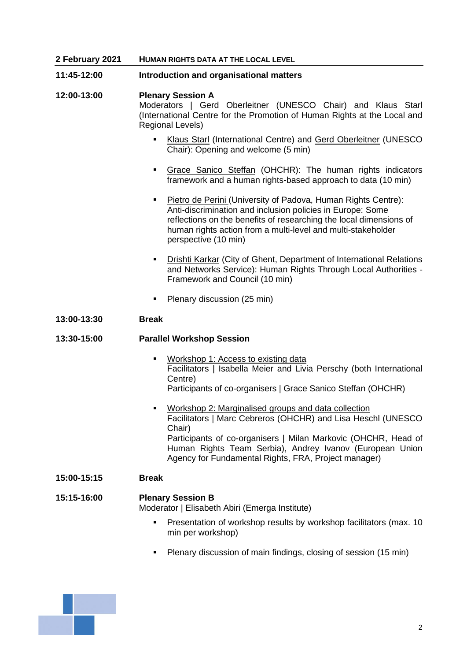| 2 February 2021 | <b>HUMAN RIGHTS DATA AT THE LOCAL LEVEL</b>                                                                                                                                                                                                                                                                                           |
|-----------------|---------------------------------------------------------------------------------------------------------------------------------------------------------------------------------------------------------------------------------------------------------------------------------------------------------------------------------------|
| 11:45-12:00     | Introduction and organisational matters                                                                                                                                                                                                                                                                                               |
| 12:00-13:00     | <b>Plenary Session A</b><br>Moderators   Gerd Oberleitner (UNESCO Chair) and Klaus Starl<br>(International Centre for the Promotion of Human Rights at the Local and<br><b>Regional Levels)</b>                                                                                                                                       |
|                 | <b>Klaus Starl (International Centre) and Gerd Oberleitner (UNESCO</b><br>$\blacksquare$<br>Chair): Opening and welcome (5 min)                                                                                                                                                                                                       |
|                 | Grace Sanico Steffan (OHCHR): The human rights indicators<br>٠<br>framework and a human rights-based approach to data (10 min)                                                                                                                                                                                                        |
|                 | Pietro de Perini (University of Padova, Human Rights Centre):<br>٠<br>Anti-discrimination and inclusion policies in Europe: Some<br>reflections on the benefits of researching the local dimensions of<br>human rights action from a multi-level and multi-stakeholder<br>perspective (10 min)                                        |
|                 | <b>Drishti Karkar (City of Ghent, Department of International Relations</b><br>٠<br>and Networks Service): Human Rights Through Local Authorities -<br>Framework and Council (10 min)                                                                                                                                                 |
|                 | Plenary discussion (25 min)<br>٠                                                                                                                                                                                                                                                                                                      |
| 13:00-13:30     | <b>Break</b>                                                                                                                                                                                                                                                                                                                          |
| 13:30-15:00     | <b>Parallel Workshop Session</b>                                                                                                                                                                                                                                                                                                      |
|                 | Workshop 1: Access to existing data<br>٠<br>Facilitators   Isabella Meier and Livia Perschy (both International<br>Centre)<br>Participants of co-organisers   Grace Sanico Steffan (OHCHR)                                                                                                                                            |
|                 | Workshop 2: Marginalised groups and data collection<br>$\blacksquare$<br>Facilitators   Marc Cebreros (OHCHR) and Lisa Heschl (UNESCO<br>Chair)<br>Participants of co-organisers   Milan Markovic (OHCHR, Head of<br>Human Rights Team Serbia), Andrey Ivanov (European Union<br>Agency for Fundamental Rights, FRA, Project manager) |
| 15:00-15:15     | <b>Break</b>                                                                                                                                                                                                                                                                                                                          |
| 15:15-16:00     | <b>Plenary Session B</b><br>Moderator   Elisabeth Abiri (Emerga Institute)                                                                                                                                                                                                                                                            |
|                 | Presentation of workshop results by workshop facilitators (max. 10)<br>$\blacksquare$<br>min per workshop)                                                                                                                                                                                                                            |
|                 |                                                                                                                                                                                                                                                                                                                                       |

▪ Plenary discussion of main findings, closing of session (15 min)

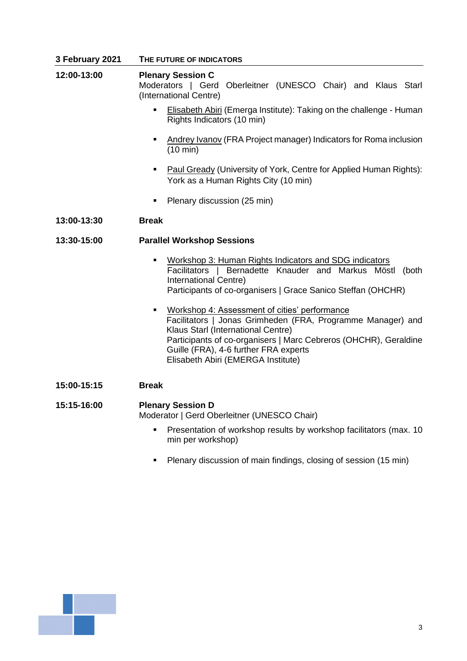| 3 February 2021 | THE FUTURE OF INDICATORS                                                                                                                                                                                                                                                                                                |
|-----------------|-------------------------------------------------------------------------------------------------------------------------------------------------------------------------------------------------------------------------------------------------------------------------------------------------------------------------|
| 12:00-13:00     | <b>Plenary Session C</b><br>Moderators   Gerd Oberleitner (UNESCO Chair) and Klaus Starl<br>(International Centre)                                                                                                                                                                                                      |
|                 | Elisabeth Abiri (Emerga Institute): Taking on the challenge - Human<br>п<br>Rights Indicators (10 min)                                                                                                                                                                                                                  |
|                 | Andrey Ivanov (FRA Project manager) Indicators for Roma inclusion<br>٠<br>$(10 \text{ min})$                                                                                                                                                                                                                            |
|                 | Paul Gready (University of York, Centre for Applied Human Rights):<br>٠<br>York as a Human Rights City (10 min)                                                                                                                                                                                                         |
|                 | Plenary discussion (25 min)<br>٠                                                                                                                                                                                                                                                                                        |
| 13:00-13:30     | <b>Break</b>                                                                                                                                                                                                                                                                                                            |
| 13:30-15:00     | <b>Parallel Workshop Sessions</b>                                                                                                                                                                                                                                                                                       |
|                 | Workshop 3: Human Rights Indicators and SDG indicators<br>٠<br>Facilitators   Bernadette Knauder and Markus Möstl (both<br>International Centre)<br>Participants of co-organisers   Grace Sanico Steffan (OHCHR)                                                                                                        |
|                 | Workshop 4: Assessment of cities' performance<br>$\blacksquare$<br>Facilitators   Jonas Grimheden (FRA, Programme Manager) and<br>Klaus Starl (International Centre)<br>Participants of co-organisers   Marc Cebreros (OHCHR), Geraldine<br>Guille (FRA), 4-6 further FRA experts<br>Elisabeth Abiri (EMERGA Institute) |
| 15:00-15:15     | <b>Break</b>                                                                                                                                                                                                                                                                                                            |
| 15:15-16:00     | <b>Plenary Session D</b><br>Moderator   Gerd Oberleitner (UNESCO Chair)                                                                                                                                                                                                                                                 |

- **•** Presentation of workshop results by workshop facilitators (max. 10 min per workshop)
- Plenary discussion of main findings, closing of session (15 min)

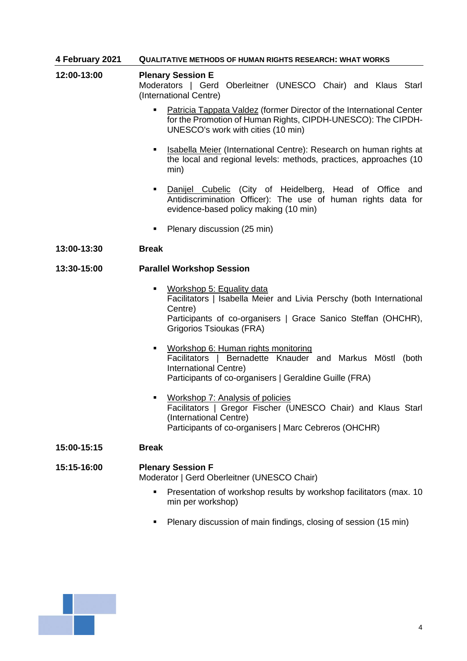#### **4 February 2021 QUALITATIVE METHODS OF HUMAN RIGHTS RESEARCH: WHAT WORKS**

- **12:00-13:00 Plenary Session E**  Moderators | Gerd Oberleitner (UNESCO Chair) and Klaus Starl (International Centre)
	- Patricia Tappata Valdez (former Director of the International Center for the Promotion of Human Rights, CIPDH-UNESCO): The CIPDH-UNESCO's work with cities (10 min)
	- **Example 15 Isabella Meier (International Centre): Research on human rights at** the local and regional levels: methods, practices, approaches (10 min)
	- **·** Danijel Cubelic (City of Heidelberg, Head of Office and Antidiscrimination Officer): The use of human rights data for evidence-based policy making (10 min)
	- Plenary discussion (25 min)

## **13:00-13:30 Break**

## **13:30-15:00 Parallel Workshop Session**

- Workshop 5: Equality data Facilitators | Isabella Meier and Livia Perschy (both International Centre) Participants of co-organisers | Grace Sanico Steffan (OHCHR), Grigorios Tsioukas (FRA)
- Workshop 6: Human rights monitoring Facilitators | Bernadette Knauder and Markus Möstl (both International Centre) Participants of co-organisers | Geraldine Guille (FRA)
- Workshop 7: Analysis of policies Facilitators | Gregor Fischer (UNESCO Chair) and Klaus Starl (International Centre) Participants of co-organisers | Marc Cebreros (OHCHR)

#### **15:00-15:15 Break**

#### **15:15-16:00 Plenary Session F** Moderator | Gerd Oberleitner (UNESCO Chair)

- **•** Presentation of workshop results by workshop facilitators (max. 10 min per workshop)
- Plenary discussion of main findings, closing of session (15 min)